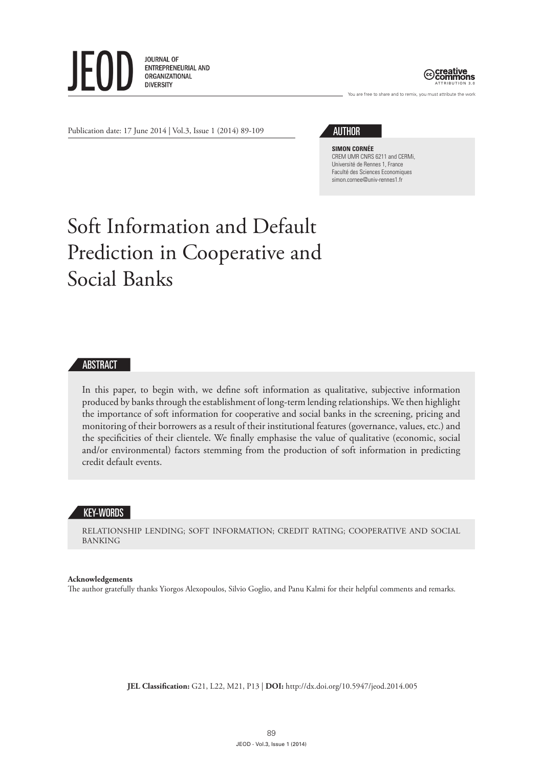



You are free to share and to remix, you must attribute the work

Publication date: 17 June 2014 | Vol.3, Issue 1 (2014) 89-109

# AUTHOR

**SIMON CORNÉE** CREM UMR CNRS 6211 and CERMi, Université de Rennes 1, France Faculté des Sciences Economiques simon.cornee@univ-rennes1.fr

# Soft Information and Default Prediction in Cooperative and Social Banks

# ABSTRACT

In this paper, to begin with, we define soft information as qualitative, subjective information produced by banks through the establishment of long-term lending relationships. We then highlight the importance of soft information for cooperative and social banks in the screening, pricing and monitoring of their borrowers as a result of their institutional features (governance, values, etc.) and the specificities of their clientele. We finally emphasise the value of qualitative (economic, social and/or environmental) factors stemming from the production of soft information in predicting credit default events.

## KEY-WORDS

RELATIONSHIP LENDING; SOFT INFORMATION; CREDIT RATING; COOPERATIVE AND SOCIAL BANKING

#### **Acknowledgements**

The author gratefully thanks Yiorgos Alexopoulos, Silvio Goglio, and Panu Kalmi for their helpful comments and remarks.

**JEL Classification:** G21, L22, M21, P13 | **DOI:** http://dx.doi.org/10.5947/jeod.2014.005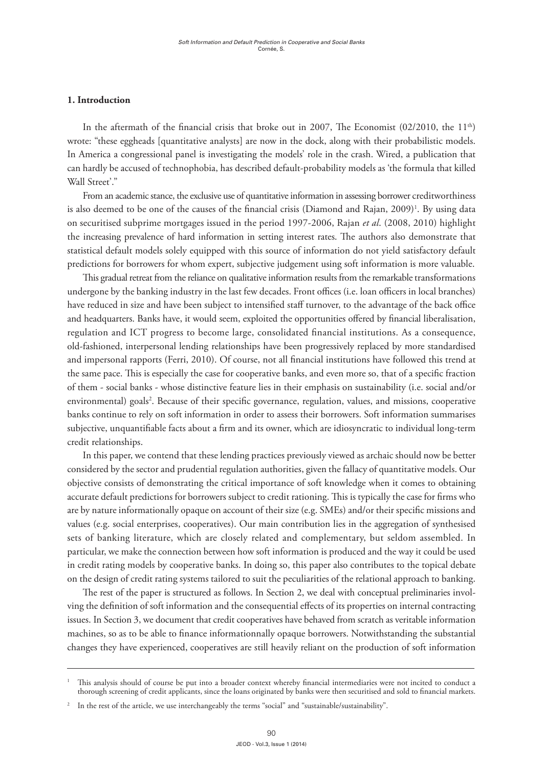#### **1. Introduction**

In the aftermath of the financial crisis that broke out in 2007, The Economist (02/2010, the 11<sup>th</sup>) wrote: "these eggheads [quantitative analysts] are now in the dock, along with their probabilistic models. In America a congressional panel is investigating the models' role in the crash. Wired, a publication that can hardly be accused of technophobia, has described default-probability models as 'the formula that killed Wall Street'."

From an academic stance, the exclusive use of quantitative information in assessing borrower creditworthiness is also deemed to be one of the causes of the financial crisis (Diamond and Rajan, 2009)<sup>1</sup>. By using data on securitised subprime mortgages issued in the period 1997-2006, Rajan *et al*. (2008, 2010) highlight the increasing prevalence of hard information in setting interest rates. The authors also demonstrate that statistical default models solely equipped with this source of information do not yield satisfactory default predictions for borrowers for whom expert, subjective judgement using soft information is more valuable.

This gradual retreat from the reliance on qualitative information results from the remarkable transformations undergone by the banking industry in the last few decades. Front offices (i.e. loan officers in local branches) have reduced in size and have been subject to intensified staff turnover, to the advantage of the back office and headquarters. Banks have, it would seem, exploited the opportunities offered by financial liberalisation, regulation and ICT progress to become large, consolidated financial institutions. As a consequence, old-fashioned, interpersonal lending relationships have been progressively replaced by more standardised and impersonal rapports (Ferri, 2010). Of course, not all financial institutions have followed this trend at the same pace. This is especially the case for cooperative banks, and even more so, that of a specific fraction of them - social banks - whose distinctive feature lies in their emphasis on sustainability (i.e. social and/or environmental) goals<sup>2</sup>. Because of their specific governance, regulation, values, and missions, cooperative banks continue to rely on soft information in order to assess their borrowers. Soft information summarises subjective, unquantifiable facts about a firm and its owner, which are idiosyncratic to individual long-term credit relationships.

In this paper, we contend that these lending practices previously viewed as archaic should now be better considered by the sector and prudential regulation authorities, given the fallacy of quantitative models. Our objective consists of demonstrating the critical importance of soft knowledge when it comes to obtaining accurate default predictions for borrowers subject to credit rationing. This is typically the case for firms who are by nature informationally opaque on account of their size (e.g. SMEs) and/or their specific missions and values (e.g. social enterprises, cooperatives). Our main contribution lies in the aggregation of synthesised sets of banking literature, which are closely related and complementary, but seldom assembled. In particular, we make the connection between how soft information is produced and the way it could be used in credit rating models by cooperative banks. In doing so, this paper also contributes to the topical debate on the design of credit rating systems tailored to suit the peculiarities of the relational approach to banking.

The rest of the paper is structured as follows. In Section 2, we deal with conceptual preliminaries involving the definition of soft information and the consequential effects of its properties on internal contracting issues. In Section 3, we document that credit cooperatives have behaved from scratch as veritable information machines, so as to be able to finance informationnally opaque borrowers. Notwithstanding the substantial changes they have experienced, cooperatives are still heavily reliant on the production of soft information

<sup>1</sup> This analysis should of course be put into a broader context whereby financial intermediaries were not incited to conduct a thorough screening of credit applicants, since the loans originated by banks were then securitised and sold to financial markets.

<sup>2</sup> In the rest of the article, we use interchangeably the terms "social" and "sustainable/sustainability".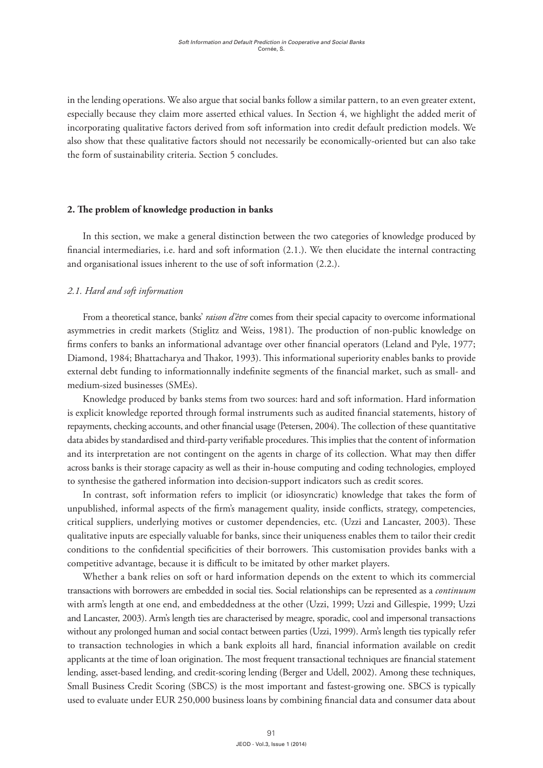in the lending operations. We also argue that social banks follow a similar pattern, to an even greater extent, especially because they claim more asserted ethical values. In Section 4, we highlight the added merit of incorporating qualitative factors derived from soft information into credit default prediction models. We also show that these qualitative factors should not necessarily be economically-oriented but can also take the form of sustainability criteria. Section 5 concludes.

#### **2. The problem of knowledge production in banks**

In this section, we make a general distinction between the two categories of knowledge produced by financial intermediaries, i.e. hard and soft information (2.1.). We then elucidate the internal contracting and organisational issues inherent to the use of soft information (2.2.).

#### *2.1. Hard and soft information*

From a theoretical stance, banks' *raison d'être* comes from their special capacity to overcome informational asymmetries in credit markets (Stiglitz and Weiss, 1981). The production of non-public knowledge on firms confers to banks an informational advantage over other financial operators (Leland and Pyle, 1977; Diamond, 1984; Bhattacharya and Thakor, 1993). This informational superiority enables banks to provide external debt funding to informationnally indefinite segments of the financial market, such as small- and medium-sized businesses (SMEs).

Knowledge produced by banks stems from two sources: hard and soft information. Hard information is explicit knowledge reported through formal instruments such as audited financial statements, history of repayments, checking accounts, and other financial usage (Petersen, 2004). The collection of these quantitative data abides by standardised and third-party verifiable procedures. This implies that the content of information and its interpretation are not contingent on the agents in charge of its collection. What may then differ across banks is their storage capacity as well as their in-house computing and coding technologies, employed to synthesise the gathered information into decision-support indicators such as credit scores.

In contrast, soft information refers to implicit (or idiosyncratic) knowledge that takes the form of unpublished, informal aspects of the firm's management quality, inside conflicts, strategy, competencies, critical suppliers, underlying motives or customer dependencies, etc. (Uzzi and Lancaster, 2003). These qualitative inputs are especially valuable for banks, since their uniqueness enables them to tailor their credit conditions to the confidential specificities of their borrowers. This customisation provides banks with a competitive advantage, because it is difficult to be imitated by other market players.

Whether a bank relies on soft or hard information depends on the extent to which its commercial transactions with borrowers are embedded in social ties. Social relationships can be represented as a *continuum* with arm's length at one end, and embeddedness at the other (Uzzi, 1999; Uzzi and Gillespie, 1999; Uzzi and Lancaster, 2003). Arm's length ties are characterised by meagre, sporadic, cool and impersonal transactions without any prolonged human and social contact between parties (Uzzi, 1999). Arm's length ties typically refer to transaction technologies in which a bank exploits all hard, financial information available on credit applicants at the time of loan origination. The most frequent transactional techniques are financial statement lending, asset-based lending, and credit-scoring lending (Berger and Udell, 2002). Among these techniques, Small Business Credit Scoring (SBCS) is the most important and fastest-growing one. SBCS is typically used to evaluate under EUR 250,000 business loans by combining financial data and consumer data about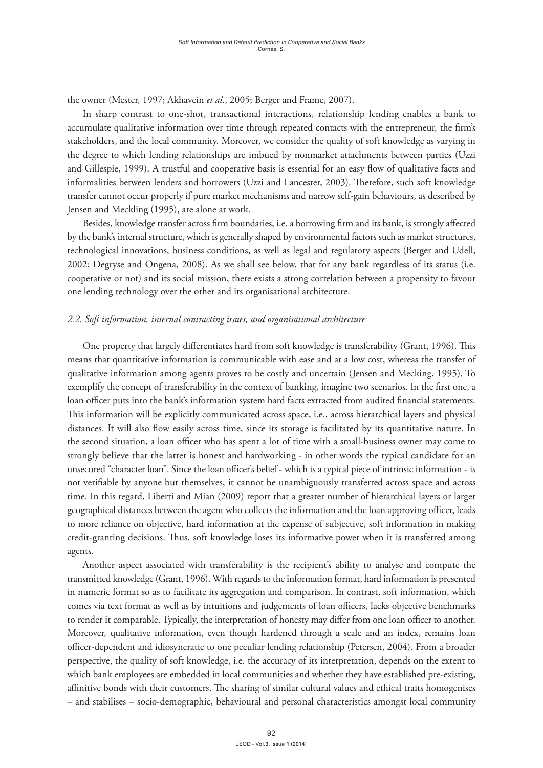the owner (Mester, 1997; Akhavein *et al*., 2005; Berger and Frame, 2007).

In sharp contrast to one-shot, transactional interactions, relationship lending enables a bank to accumulate qualitative information over time through repeated contacts with the entrepreneur, the firm's stakeholders, and the local community. Moreover, we consider the quality of soft knowledge as varying in the degree to which lending relationships are imbued by nonmarket attachments between parties (Uzzi and Gillespie, 1999). A trustful and cooperative basis is essential for an easy flow of qualitative facts and informalities between lenders and borrowers (Uzzi and Lancester, 2003). Therefore, such soft knowledge transfer cannot occur properly if pure market mechanisms and narrow self-gain behaviours, as described by Jensen and Meckling (1995), are alone at work.

Besides, knowledge transfer across firm boundaries, i.e. a borrowing firm and its bank, is strongly affected by the bank's internal structure, which is generally shaped by environmental factors such as market structures, technological innovations, business conditions, as well as legal and regulatory aspects (Berger and Udell, 2002; Degryse and Ongena, 2008). As we shall see below, that for any bank regardless of its status (i.e. cooperative or not) and its social mission, there exists a strong correlation between a propensity to favour one lending technology over the other and its organisational architecture.

#### *2.2. Soft information, internal contracting issues, and organisational architecture*

One property that largely differentiates hard from soft knowledge is transferability (Grant, 1996). This means that quantitative information is communicable with ease and at a low cost, whereas the transfer of qualitative information among agents proves to be costly and uncertain (Jensen and Mecking, 1995). To exemplify the concept of transferability in the context of banking, imagine two scenarios. In the first one, a loan officer puts into the bank's information system hard facts extracted from audited financial statements. This information will be explicitly communicated across space, i.e., across hierarchical layers and physical distances. It will also flow easily across time, since its storage is facilitated by its quantitative nature. In the second situation, a loan officer who has spent a lot of time with a small-business owner may come to strongly believe that the latter is honest and hardworking - in other words the typical candidate for an unsecured "character loan". Since the loan officer's belief - which is a typical piece of intrinsic information - is not verifiable by anyone but themselves, it cannot be unambiguously transferred across space and across time. In this regard, Liberti and Mian (2009) report that a greater number of hierarchical layers or larger geographical distances between the agent who collects the information and the loan approving officer, leads to more reliance on objective, hard information at the expense of subjective, soft information in making credit-granting decisions. Thus, soft knowledge loses its informative power when it is transferred among agents.

Another aspect associated with transferability is the recipient's ability to analyse and compute the transmitted knowledge (Grant, 1996). With regards to the information format, hard information is presented in numeric format so as to facilitate its aggregation and comparison. In contrast, soft information, which comes via text format as well as by intuitions and judgements of loan officers, lacks objective benchmarks to render it comparable. Typically, the interpretation of honesty may differ from one loan officer to another. Moreover, qualitative information, even though hardened through a scale and an index, remains loan officer-dependent and idiosyncratic to one peculiar lending relationship (Petersen, 2004). From a broader perspective, the quality of soft knowledge, i.e. the accuracy of its interpretation, depends on the extent to which bank employees are embedded in local communities and whether they have established pre-existing, affinitive bonds with their customers. The sharing of similar cultural values and ethical traits homogenises – and stabilises – socio-demographic, behavioural and personal characteristics amongst local community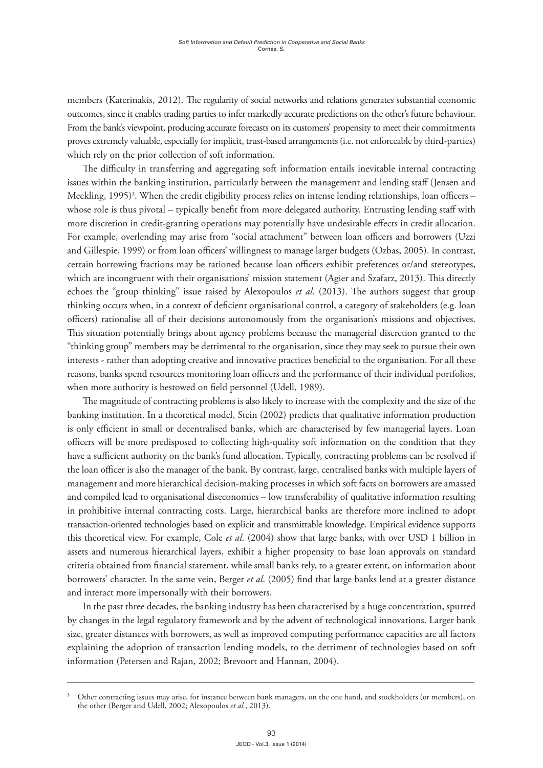members (Katerinakis, 2012). The regularity of social networks and relations generates substantial economic outcomes, since it enables trading parties to infer markedly accurate predictions on the other's future behaviour. From the bank's viewpoint, producing accurate forecasts on its customers' propensity to meet their commitments proves extremely valuable, especially for implicit, trust-based arrangements (i.e. not enforceable by third-parties) which rely on the prior collection of soft information.

The difficulty in transferring and aggregating soft information entails inevitable internal contracting issues within the banking institution, particularly between the management and lending staff (Jensen and Meckling, 1995)<sup>3</sup>. When the credit eligibility process relies on intense lending relationships, loan officers – whose role is thus pivotal – typically benefit from more delegated authority. Entrusting lending staff with more discretion in credit-granting operations may potentially have undesirable effects in credit allocation. For example, overlending may arise from "social attachment" between loan officers and borrowers (Uzzi and Gillespie, 1999) or from loan officers' willingness to manage larger budgets (Ozbas, 2005). In contrast, certain borrowing fractions may be rationed because loan officers exhibit preferences or/and stereotypes, which are incongruent with their organisations' mission statement (Agier and Szafarz, 2013). This directly echoes the "group thinking" issue raised by Alexopoulos *et al*. (2013). The authors suggest that group thinking occurs when, in a context of deficient organisational control, a category of stakeholders (e.g. loan officers) rationalise all of their decisions autonomously from the organisation's missions and objectives. This situation potentially brings about agency problems because the managerial discretion granted to the "thinking group" members may be detrimental to the organisation, since they may seek to pursue their own interests - rather than adopting creative and innovative practices beneficial to the organisation. For all these reasons, banks spend resources monitoring loan officers and the performance of their individual portfolios, when more authority is bestowed on field personnel (Udell, 1989).

The magnitude of contracting problems is also likely to increase with the complexity and the size of the banking institution. In a theoretical model, Stein (2002) predicts that qualitative information production is only efficient in small or decentralised banks, which are characterised by few managerial layers. Loan officers will be more predisposed to collecting high-quality soft information on the condition that they have a sufficient authority on the bank's fund allocation. Typically, contracting problems can be resolved if the loan officer is also the manager of the bank. By contrast, large, centralised banks with multiple layers of management and more hierarchical decision-making processes in which soft facts on borrowers are amassed and compiled lead to organisational diseconomies – low transferability of qualitative information resulting in prohibitive internal contracting costs. Large, hierarchical banks are therefore more inclined to adopt transaction-oriented technologies based on explicit and transmittable knowledge. Empirical evidence supports this theoretical view. For example, Cole *et al*. (2004) show that large banks, with over USD 1 billion in assets and numerous hierarchical layers, exhibit a higher propensity to base loan approvals on standard criteria obtained from financial statement, while small banks rely, to a greater extent, on information about borrowers' character. In the same vein, Berger *et al*. (2005) find that large banks lend at a greater distance and interact more impersonally with their borrowers.

In the past three decades, the banking industry has been characterised by a huge concentration, spurred by changes in the legal regulatory framework and by the advent of technological innovations. Larger bank size, greater distances with borrowers, as well as improved computing performance capacities are all factors explaining the adoption of transaction lending models, to the detriment of technologies based on soft information (Petersen and Rajan, 2002; Brevoort and Hannan, 2004).

Other contracting issues may arise, for instance between bank managers, on the one hand, and stockholders (or members), on the other (Berger and Udell, 2002; Alexopoulos *et al.*, 2013).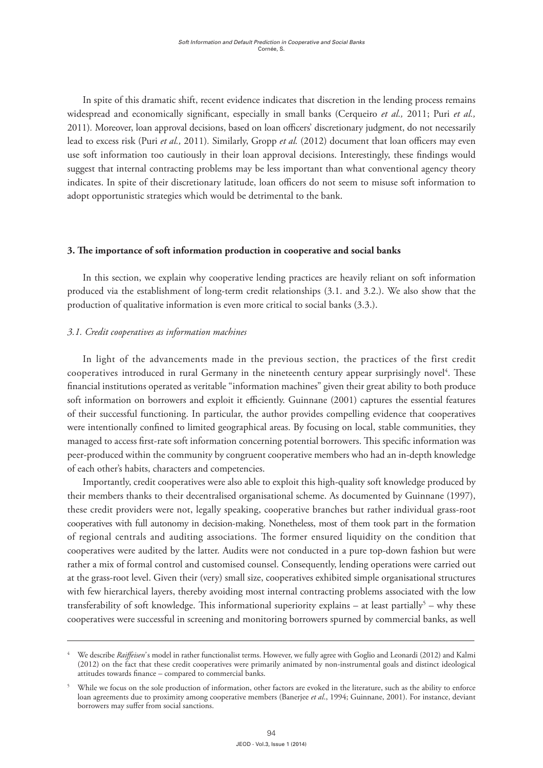In spite of this dramatic shift, recent evidence indicates that discretion in the lending process remains widespread and economically significant, especially in small banks (Cerqueiro *et al.,* 2011; Puri *et al.,*  2011)*.* Moreover, loan approval decisions, based on loan officers' discretionary judgment, do not necessarily lead to excess risk (Puri *et al.,* 2011)*.* Similarly, Gropp *et al.* (2012) document that loan officers may even use soft information too cautiously in their loan approval decisions. Interestingly, these findings would suggest that internal contracting problems may be less important than what conventional agency theory indicates. In spite of their discretionary latitude, loan officers do not seem to misuse soft information to adopt opportunistic strategies which would be detrimental to the bank.

#### **3. The importance of soft information production in cooperative and social banks**

In this section, we explain why cooperative lending practices are heavily reliant on soft information produced via the establishment of long-term credit relationships (3.1. and 3.2.). We also show that the production of qualitative information is even more critical to social banks (3.3.).

## *3.1. Credit cooperatives as information machines*

In light of the advancements made in the previous section, the practices of the first credit cooperatives introduced in rural Germany in the nineteenth century appear surprisingly novel<sup>4</sup>. These financial institutions operated as veritable "information machines" given their great ability to both produce soft information on borrowers and exploit it efficiently. Guinnane (2001) captures the essential features of their successful functioning. In particular, the author provides compelling evidence that cooperatives were intentionally confined to limited geographical areas. By focusing on local, stable communities, they managed to access first-rate soft information concerning potential borrowers. This specific information was peer-produced within the community by congruent cooperative members who had an in-depth knowledge of each other's habits, characters and competencies.

Importantly, credit cooperatives were also able to exploit this high-quality soft knowledge produced by their members thanks to their decentralised organisational scheme. As documented by Guinnane (1997), these credit providers were not, legally speaking, cooperative branches but rather individual grass-root cooperatives with full autonomy in decision-making. Nonetheless, most of them took part in the formation of regional centrals and auditing associations. The former ensured liquidity on the condition that cooperatives were audited by the latter. Audits were not conducted in a pure top-down fashion but were rather a mix of formal control and customised counsel. Consequently, lending operations were carried out at the grass-root level. Given their (very) small size, cooperatives exhibited simple organisational structures with few hierarchical layers, thereby avoiding most internal contracting problems associated with the low transferability of soft knowledge. This informational superiority explains – at least partially<sup>5</sup> – why these cooperatives were successful in screening and monitoring borrowers spurned by commercial banks, as well

<sup>4</sup> We describe *Raiffeisen'* s model in rather functionalist terms. However, we fully agree with Goglio and Leonardi (2012) and Kalmi (2012) on the fact that these credit cooperatives were primarily animated by non-instrumental goals and distinct ideological attitudes towards finance – compared to commercial banks.

While we focus on the sole production of information, other factors are evoked in the literature, such as the ability to enforce loan agreements due to proximity among cooperative members (Banerjee *et al*., 1994; Guinnane, 2001). For instance, deviant borrowers may suffer from social sanctions.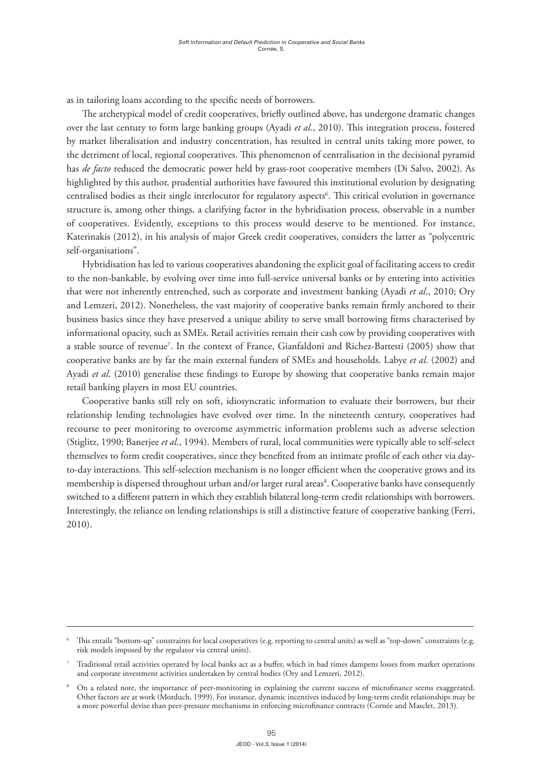as in tailoring loans according to the specific needs of borrowers.

The archetypical model of credit cooperatives, briefly outlined above, has undergone dramatic changes over the last century to form large banking groups (Ayadi *et al*., 2010). This integration process, fostered by market liberalisation and industry concentration, has resulted in central units taking more power, to the detriment of local, regional cooperatives. This phenomenon of centralisation in the decisional pyramid has *de facto* reduced the democratic power held by grass-root cooperative members (Di Salvo, 2002). As highlighted by this author, prudential authorities have favoured this institutional evolution by designating centralised bodies as their single interlocutor for regulatory aspects<sup>6</sup>. This critical evolution in governance structure is, among other things, a clarifying factor in the hybridisation process, observable in a number of cooperatives. Evidently, exceptions to this process would deserve to be mentioned. For instance, Katerinakis (2012), in his analysis of major Greek credit cooperatives, considers the latter as "polycentric self-organisations".

Hybridisation has led to various cooperatives abandoning the explicit goal of facilitating access to credit to the non-bankable, by evolving over time into full-service universal banks or by entering into activities that were not inherently entrenched, such as corporate and investment banking (Ayadi *et al*., 2010; Ory and Lemzeri, 2012). Nonetheless, the vast majority of cooperative banks remain firmly anchored to their business basics since they have preserved a unique ability to serve small borrowing firms characterised by informational opacity, such as SMEs. Retail activities remain their cash cow by providing cooperatives with a stable source of revenue7 . In the context of France, Gianfaldoni and Richez-Battesti (2005) show that cooperative banks are by far the main external funders of SMEs and households. Labye *et al*. (2002) and Ayadi *et al*. (2010) generalise these findings to Europe by showing that cooperative banks remain major retail banking players in most EU countries.

Cooperative banks still rely on soft, idiosyncratic information to evaluate their borrowers, but their relationship lending technologies have evolved over time. In the nineteenth century, cooperatives had recourse to peer monitoring to overcome asymmetric information problems such as adverse selection (Stiglitz, 1990; Banerjee *et al*., 1994). Members of rural, local communities were typically able to self-select themselves to form credit cooperatives, since they benefited from an intimate profile of each other via dayto-day interactions. This self-selection mechanism is no longer efficient when the cooperative grows and its membership is dispersed throughout urban and/or larger rural areas<sup>8</sup>. Cooperative banks have consequently switched to a different pattern in which they establish bilateral long-term credit relationships with borrowers. Interestingly, the reliance on lending relationships is still a distinctive feature of cooperative banking (Ferri, 2010).

This entails "bottom-up" constraints for local cooperatives (e.g. reporting to central units) as well as "top-down" constraints (e.g. risk models imposed by the regulator via central units).

<sup>7</sup> Traditional retail activities operated by local banks act as a buffer, which in bad times dampens losses from market operations and corporate investment activities undertaken by central bodies (Ory and Lemzeri, 2012).

<sup>8</sup> On a related note, the importance of peer-monitoring in explaining the current success of microfinance seems exaggerated. Other factors are at work (Morduch, 1999). For instance, dynamic incentives induced by long-term credit relationships may be a more powerful devise than peer-pressure mechanisms in enforcing microfinance contracts (Cornée and Masclet, 2013).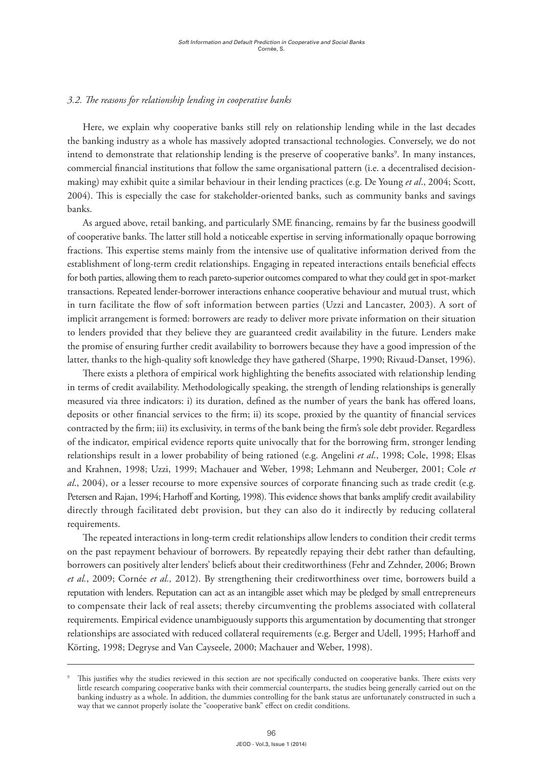## *3.2. The reasons for relationship lending in cooperative banks*

Here, we explain why cooperative banks still rely on relationship lending while in the last decades the banking industry as a whole has massively adopted transactional technologies. Conversely, we do not intend to demonstrate that relationship lending is the preserve of cooperative banks<sup>9</sup>. In many instances, commercial financial institutions that follow the same organisational pattern (i.e. a decentralised decisionmaking) may exhibit quite a similar behaviour in their lending practices (e.g. De Young *et al*., 2004; Scott, 2004). This is especially the case for stakeholder-oriented banks, such as community banks and savings banks.

As argued above, retail banking, and particularly SME financing, remains by far the business goodwill of cooperative banks. The latter still hold a noticeable expertise in serving informationally opaque borrowing fractions. This expertise stems mainly from the intensive use of qualitative information derived from the establishment of long-term credit relationships. Engaging in repeated interactions entails beneficial effects for both parties, allowing them to reach pareto-superior outcomes compared to what they could get in spot-market transactions. Repeated lender-borrower interactions enhance cooperative behaviour and mutual trust, which in turn facilitate the flow of soft information between parties (Uzzi and Lancaster, 2003). A sort of implicit arrangement is formed: borrowers are ready to deliver more private information on their situation to lenders provided that they believe they are guaranteed credit availability in the future. Lenders make the promise of ensuring further credit availability to borrowers because they have a good impression of the latter, thanks to the high-quality soft knowledge they have gathered (Sharpe, 1990; Rivaud-Danset, 1996).

There exists a plethora of empirical work highlighting the benefits associated with relationship lending in terms of credit availability. Methodologically speaking, the strength of lending relationships is generally measured via three indicators: i) its duration, defined as the number of years the bank has offered loans, deposits or other financial services to the firm; ii) its scope, proxied by the quantity of financial services contracted by the firm; iii) its exclusivity, in terms of the bank being the firm's sole debt provider. Regardless of the indicator, empirical evidence reports quite univocally that for the borrowing firm, stronger lending relationships result in a lower probability of being rationed (e.g. Angelini *et al*., 1998; Cole, 1998; Elsas and Krahnen, 1998; Uzzi, 1999; Machauer and Weber, 1998; Lehmann and Neuberger, 2001; Cole *et al*., 2004), or a lesser recourse to more expensive sources of corporate financing such as trade credit (e.g. Petersen and Rajan, 1994; Harhoff and Korting, 1998). This evidence shows that banks amplify credit availability directly through facilitated debt provision, but they can also do it indirectly by reducing collateral requirements.

The repeated interactions in long-term credit relationships allow lenders to condition their credit terms on the past repayment behaviour of borrowers. By repeatedly repaying their debt rather than defaulting, borrowers can positively alter lenders' beliefs about their creditworthiness (Fehr and Zehnder, 2006; Brown *et al.*, 2009; Cornée *et al.,* 2012). By strengthening their creditworthiness over time, borrowers build a reputation with lenders. Reputation can act as an intangible asset which may be pledged by small entrepreneurs to compensate their lack of real assets; thereby circumventing the problems associated with collateral requirements. Empirical evidence unambiguously supports this argumentation by documenting that stronger relationships are associated with reduced collateral requirements (e.g. Berger and Udell, 1995; Harhoff and Körting, 1998; Degryse and Van Cayseele, 2000; Machauer and Weber, 1998).

This justifies why the studies reviewed in this section are not specifically conducted on cooperative banks. There exists very little research comparing cooperative banks with their commercial counterparts, the studies being generally carried out on the banking industry as a whole. In addition, the dummies controlling for the bank status are unfortunately constructed in such a way that we cannot properly isolate the "cooperative bank" effect on credit conditions.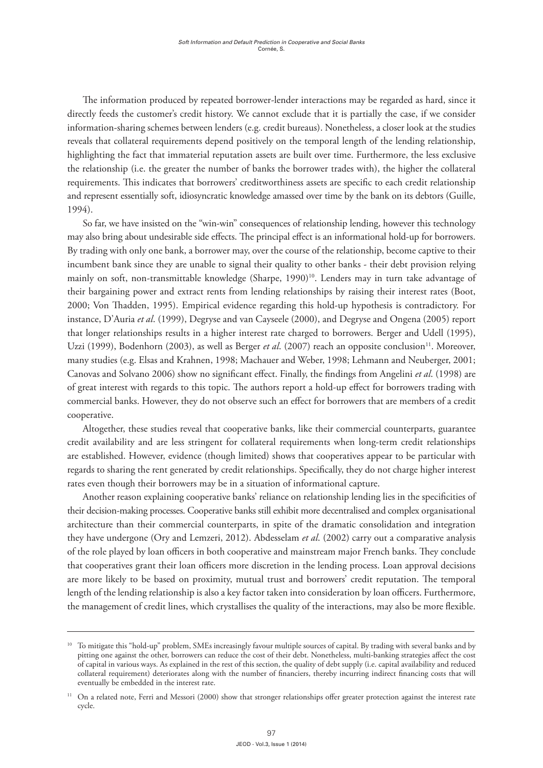The information produced by repeated borrower-lender interactions may be regarded as hard, since it directly feeds the customer's credit history. We cannot exclude that it is partially the case, if we consider information-sharing schemes between lenders (e.g. credit bureaus). Nonetheless, a closer look at the studies reveals that collateral requirements depend positively on the temporal length of the lending relationship, highlighting the fact that immaterial reputation assets are built over time. Furthermore, the less exclusive the relationship (i.e. the greater the number of banks the borrower trades with), the higher the collateral requirements. This indicates that borrowers' creditworthiness assets are specific to each credit relationship and represent essentially soft, idiosyncratic knowledge amassed over time by the bank on its debtors (Guille, 1994).

So far, we have insisted on the "win-win" consequences of relationship lending, however this technology may also bring about undesirable side effects. The principal effect is an informational hold-up for borrowers. By trading with only one bank, a borrower may, over the course of the relationship, become captive to their incumbent bank since they are unable to signal their quality to other banks - their debt provision relying mainly on soft, non-transmittable knowledge (Sharpe, 1990)<sup>10</sup>. Lenders may in turn take advantage of their bargaining power and extract rents from lending relationships by raising their interest rates (Boot, 2000; Von Thadden, 1995). Empirical evidence regarding this hold-up hypothesis is contradictory. For instance, D'Auria *et al*. (1999), Degryse and van Cayseele (2000), and Degryse and Ongena (2005) report that longer relationships results in a higher interest rate charged to borrowers. Berger and Udell (1995), Uzzi (1999), Bodenhorn (2003), as well as Berger *et al.* (2007) reach an opposite conclusion<sup>11</sup>. Moreover, many studies (e.g. Elsas and Krahnen, 1998; Machauer and Weber, 1998; Lehmann and Neuberger, 2001; Canovas and Solvano 2006) show no significant effect. Finally, the findings from Angelini *et al*. (1998) are of great interest with regards to this topic. The authors report a hold-up effect for borrowers trading with commercial banks. However, they do not observe such an effect for borrowers that are members of a credit cooperative.

Altogether, these studies reveal that cooperative banks, like their commercial counterparts, guarantee credit availability and are less stringent for collateral requirements when long-term credit relationships are established. However, evidence (though limited) shows that cooperatives appear to be particular with regards to sharing the rent generated by credit relationships. Specifically, they do not charge higher interest rates even though their borrowers may be in a situation of informational capture.

Another reason explaining cooperative banks' reliance on relationship lending lies in the specificities of their decision-making processes. Cooperative banks still exhibit more decentralised and complex organisational architecture than their commercial counterparts, in spite of the dramatic consolidation and integration they have undergone (Ory and Lemzeri, 2012). Abdesselam *et al*. (2002) carry out a comparative analysis of the role played by loan officers in both cooperative and mainstream major French banks. They conclude that cooperatives grant their loan officers more discretion in the lending process. Loan approval decisions are more likely to be based on proximity, mutual trust and borrowers' credit reputation. The temporal length of the lending relationship is also a key factor taken into consideration by loan officers. Furthermore, the management of credit lines, which crystallises the quality of the interactions, may also be more flexible.

<sup>&</sup>lt;sup>10</sup> To mitigate this "hold-up" problem, SMEs increasingly favour multiple sources of capital. By trading with several banks and by pitting one against the other, borrowers can reduce the cost of their debt. Nonetheless, multi-banking strategies affect the cost of capital in various ways. As explained in the rest of this section, the quality of debt supply (i.e. capital availability and reduced collateral requirement) deteriorates along with the number of financiers, thereby incurring indirect financing costs that will eventually be embedded in the interest rate.

<sup>11</sup> On a related note, Ferri and Messori (2000) show that stronger relationships offer greater protection against the interest rate cycle.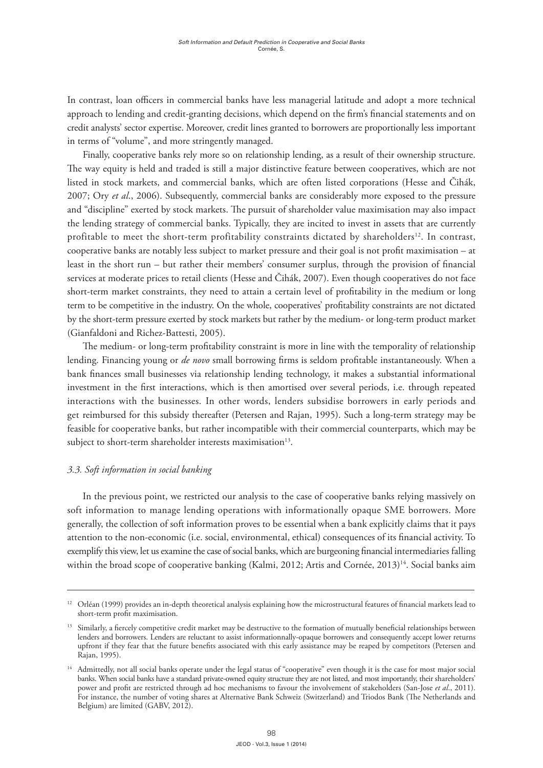In contrast, loan officers in commercial banks have less managerial latitude and adopt a more technical approach to lending and credit-granting decisions, which depend on the firm's financial statements and on credit analysts' sector expertise. Moreover, credit lines granted to borrowers are proportionally less important in terms of "volume", and more stringently managed.

Finally, cooperative banks rely more so on relationship lending, as a result of their ownership structure. The way equity is held and traded is still a major distinctive feature between cooperatives, which are not listed in stock markets, and commercial banks, which are often listed corporations (Hesse and Čihák, 2007; Ory *et al*., 2006). Subsequently, commercial banks are considerably more exposed to the pressure and "discipline" exerted by stock markets. The pursuit of shareholder value maximisation may also impact the lending strategy of commercial banks. Typically, they are incited to invest in assets that are currently profitable to meet the short-term profitability constraints dictated by shareholders<sup>12</sup>. In contrast, cooperative banks are notably less subject to market pressure and their goal is not profit maximisation – at least in the short run – but rather their members' consumer surplus, through the provision of financial services at moderate prices to retail clients (Hesse and Čihák, 2007). Even though cooperatives do not face short-term market constraints, they need to attain a certain level of profitability in the medium or long term to be competitive in the industry. On the whole, cooperatives' profitability constraints are not dictated by the short-term pressure exerted by stock markets but rather by the medium- or long-term product market (Gianfaldoni and Richez-Battesti, 2005).

The medium- or long-term profitability constraint is more in line with the temporality of relationship lending. Financing young or *de novo* small borrowing firms is seldom profitable instantaneously. When a bank finances small businesses via relationship lending technology, it makes a substantial informational investment in the first interactions, which is then amortised over several periods, i.e. through repeated interactions with the businesses. In other words, lenders subsidise borrowers in early periods and get reimbursed for this subsidy thereafter (Petersen and Rajan, 1995). Such a long-term strategy may be feasible for cooperative banks, but rather incompatible with their commercial counterparts, which may be subject to short-term shareholder interests maximisation<sup>13</sup>.

## *3.3. Soft information in social banking*

In the previous point, we restricted our analysis to the case of cooperative banks relying massively on soft information to manage lending operations with informationally opaque SME borrowers. More generally, the collection of soft information proves to be essential when a bank explicitly claims that it pays attention to the non-economic (i.e. social, environmental, ethical) consequences of its financial activity. To exemplify this view, let us examine the case of social banks, which are burgeoning financial intermediaries falling within the broad scope of cooperative banking (Kalmi, 2012; Artis and Cornée, 2013)<sup>14</sup>. Social banks aim

<sup>12</sup> Orléan (1999) provides an in-depth theoretical analysis explaining how the microstructural features of financial markets lead to short-term profit maximisation.

<sup>&</sup>lt;sup>13</sup> Similarly, a fiercely competitive credit market may be destructive to the formation of mutually beneficial relationships between lenders and borrowers. Lenders are reluctant to assist informationnally-opaque borrowers and consequently accept lower returns upfront if they fear that the future benefits associated with this early assistance may be reaped by competitors (Petersen and Rajan, 1995).

<sup>&</sup>lt;sup>14</sup> Admittedly, not all social banks operate under the legal status of "cooperative" even though it is the case for most major social banks. When social banks have a standard private-owned equity structure they are not listed, and most importantly, their shareholders' power and profit are restricted through ad hoc mechanisms to favour the involvement of stakeholders (San-Jose *et al*., 2011). For instance, the number of voting shares at Alternative Bank Schweiz (Switzerland) and Triodos Bank (The Netherlands and Belgium) are limited (GABV, 2012).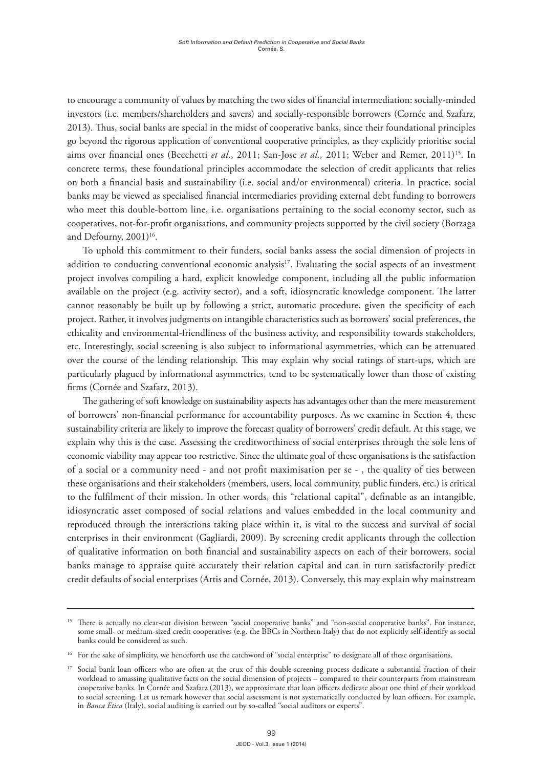to encourage a community of values by matching the two sides of financial intermediation: socially-minded investors (i.e. members/shareholders and savers) and socially-responsible borrowers (Cornée and Szafarz, 2013). Thus, social banks are special in the midst of cooperative banks, since their foundational principles go beyond the rigorous application of conventional cooperative principles, as they explicitly prioritise social aims over financial ones (Becchetti *et al.*, 2011; San-Jose *et al.*, 2011; Weber and Remer, 2011)<sup>15</sup>. In concrete terms, these foundational principles accommodate the selection of credit applicants that relies on both a financial basis and sustainability (i.e. social and/or environmental) criteria. In practice, social banks may be viewed as specialised financial intermediaries providing external debt funding to borrowers who meet this double-bottom line, i.e. organisations pertaining to the social economy sector, such as cooperatives, not-for-profit organisations, and community projects supported by the civil society (Borzaga and Defourny, 2001)<sup>16</sup>.

To uphold this commitment to their funders, social banks assess the social dimension of projects in addition to conducting conventional economic analysis<sup>17</sup>. Evaluating the social aspects of an investment project involves compiling a hard, explicit knowledge component, including all the public information available on the project (e.g. activity sector), and a soft, idiosyncratic knowledge component. The latter cannot reasonably be built up by following a strict, automatic procedure, given the specificity of each project. Rather, it involves judgments on intangible characteristics such as borrowers' social preferences, the ethicality and environmental-friendliness of the business activity, and responsibility towards stakeholders, etc. Interestingly, social screening is also subject to informational asymmetries, which can be attenuated over the course of the lending relationship. This may explain why social ratings of start-ups, which are particularly plagued by informational asymmetries, tend to be systematically lower than those of existing firms (Cornée and Szafarz, 2013).

The gathering of soft knowledge on sustainability aspects has advantages other than the mere measurement of borrowers' non-financial performance for accountability purposes. As we examine in Section 4, these sustainability criteria are likely to improve the forecast quality of borrowers' credit default. At this stage, we explain why this is the case. Assessing the creditworthiness of social enterprises through the sole lens of economic viability may appear too restrictive. Since the ultimate goal of these organisations is the satisfaction of a social or a community need - and not profit maximisation per se - , the quality of ties between these organisations and their stakeholders (members, users, local community, public funders, etc.) is critical to the fulfilment of their mission. In other words, this "relational capital", definable as an intangible, idiosyncratic asset composed of social relations and values embedded in the local community and reproduced through the interactions taking place within it, is vital to the success and survival of social enterprises in their environment (Gagliardi, 2009). By screening credit applicants through the collection of qualitative information on both financial and sustainability aspects on each of their borrowers, social banks manage to appraise quite accurately their relation capital and can in turn satisfactorily predict credit defaults of social enterprises (Artis and Cornée, 2013). Conversely, this may explain why mainstream

<sup>&</sup>lt;sup>15</sup> There is actually no clear-cut division between "social cooperative banks" and "non-social cooperative banks". For instance, some small- or medium-sized credit cooperatives (e.g. the BBCs in Northern Italy) that do not explicitly self-identify as social banks could be considered as such.

<sup>&</sup>lt;sup>16</sup> For the sake of simplicity, we henceforth use the catchword of "social enterprise" to designate all of these organisations.

<sup>&</sup>lt;sup>17</sup> Social bank loan officers who are often at the crux of this double-screening process dedicate a substantial fraction of their workload to amassing qualitative facts on the social dimension of projects – compared to their counterparts from mainstream cooperative banks. In Cornée and Szafarz (2013), we approximate that loan officers dedicate about one third of their workload to social screening. Let us remark however that social assessment is not systematically conducted by loan officers. For example, in *Banca Etica* (Italy), social auditing is carried out by so-called "social auditors or experts".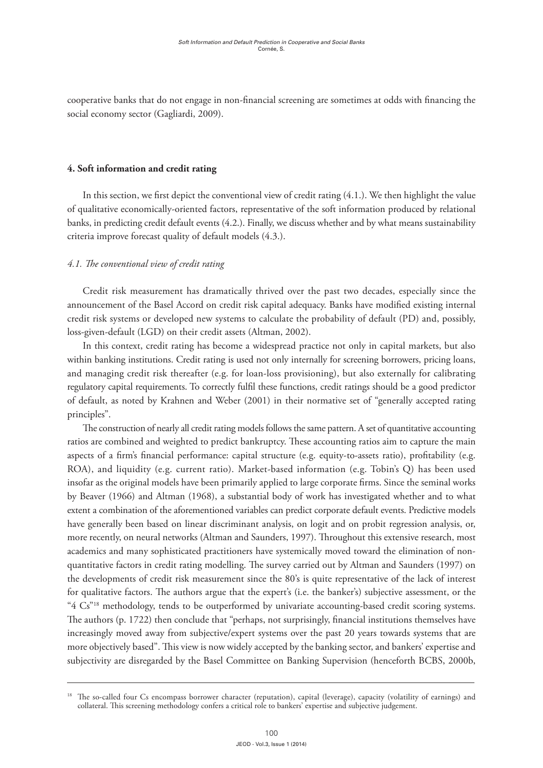cooperative banks that do not engage in non-financial screening are sometimes at odds with financing the social economy sector (Gagliardi, 2009).

#### **4. Soft information and credit rating**

In this section, we first depict the conventional view of credit rating (4.1.). We then highlight the value of qualitative economically-oriented factors, representative of the soft information produced by relational banks, in predicting credit default events (4.2.). Finally, we discuss whether and by what means sustainability criteria improve forecast quality of default models (4.3.).

#### *4.1. The conventional view of credit rating*

Credit risk measurement has dramatically thrived over the past two decades, especially since the announcement of the Basel Accord on credit risk capital adequacy. Banks have modified existing internal credit risk systems or developed new systems to calculate the probability of default (PD) and, possibly, loss-given-default (LGD) on their credit assets (Altman, 2002).

In this context, credit rating has become a widespread practice not only in capital markets, but also within banking institutions. Credit rating is used not only internally for screening borrowers, pricing loans, and managing credit risk thereafter (e.g. for loan-loss provisioning), but also externally for calibrating regulatory capital requirements. To correctly fulfil these functions, credit ratings should be a good predictor of default, as noted by Krahnen and Weber (2001) in their normative set of "generally accepted rating principles".

The construction of nearly all credit rating models follows the same pattern. A set of quantitative accounting ratios are combined and weighted to predict bankruptcy. These accounting ratios aim to capture the main aspects of a firm's financial performance: capital structure (e.g. equity-to-assets ratio), profitability (e.g. ROA), and liquidity (e.g. current ratio). Market-based information (e.g. Tobin's Q) has been used insofar as the original models have been primarily applied to large corporate firms. Since the seminal works by Beaver (1966) and Altman (1968), a substantial body of work has investigated whether and to what extent a combination of the aforementioned variables can predict corporate default events. Predictive models have generally been based on linear discriminant analysis, on logit and on probit regression analysis, or, more recently, on neural networks (Altman and Saunders, 1997). Throughout this extensive research, most academics and many sophisticated practitioners have systemically moved toward the elimination of nonquantitative factors in credit rating modelling. The survey carried out by Altman and Saunders (1997) on the developments of credit risk measurement since the 80's is quite representative of the lack of interest for qualitative factors. The authors argue that the expert's (i.e. the banker's) subjective assessment, or the "4 Cs"<sup>18</sup> methodology, tends to be outperformed by univariate accounting-based credit scoring systems. The authors (p. 1722) then conclude that "perhaps, not surprisingly, financial institutions themselves have increasingly moved away from subjective/expert systems over the past 20 years towards systems that are more objectively based". This view is now widely accepted by the banking sector, and bankers' expertise and subjectivity are disregarded by the Basel Committee on Banking Supervision (henceforth BCBS, 2000b,

<sup>&</sup>lt;sup>18</sup> The so-called four Cs encompass borrower character (reputation), capital (leverage), capacity (volatility of earnings) and collateral. This screening methodology confers a critical role to bankers' expertise and subjective judgement.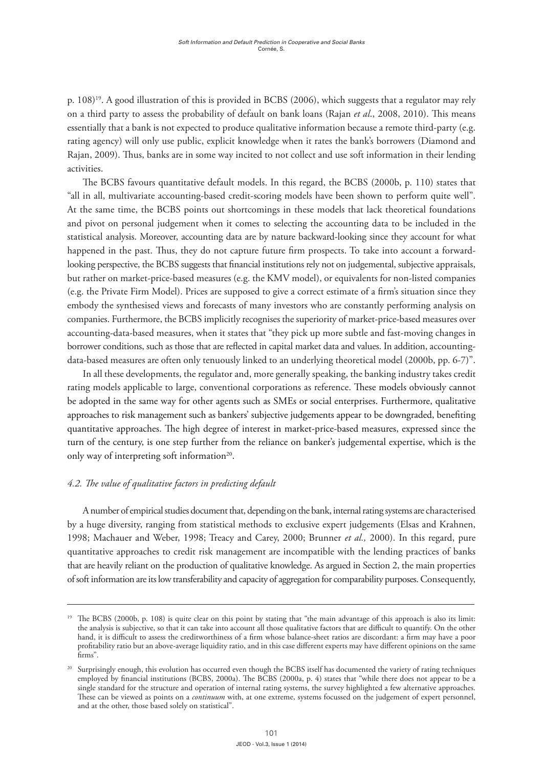p. 108)19. A good illustration of this is provided in BCBS (2006), which suggests that a regulator may rely on a third party to assess the probability of default on bank loans (Rajan *et al*., 2008, 2010). This means essentially that a bank is not expected to produce qualitative information because a remote third-party (e.g. rating agency) will only use public, explicit knowledge when it rates the bank's borrowers (Diamond and Rajan, 2009). Thus, banks are in some way incited to not collect and use soft information in their lending activities.

The BCBS favours quantitative default models. In this regard, the BCBS (2000b, p. 110) states that "all in all, multivariate accounting-based credit-scoring models have been shown to perform quite well". At the same time, the BCBS points out shortcomings in these models that lack theoretical foundations and pivot on personal judgement when it comes to selecting the accounting data to be included in the statistical analysis. Moreover, accounting data are by nature backward-looking since they account for what happened in the past. Thus, they do not capture future firm prospects. To take into account a forwardlooking perspective, the BCBS suggests that financial institutions rely not on judgemental, subjective appraisals, but rather on market-price-based measures (e.g. the KMV model), or equivalents for non-listed companies (e.g. the Private Firm Model). Prices are supposed to give a correct estimate of a firm's situation since they embody the synthesised views and forecasts of many investors who are constantly performing analysis on companies. Furthermore, the BCBS implicitly recognises the superiority of market-price-based measures over accounting-data-based measures, when it states that "they pick up more subtle and fast-moving changes in borrower conditions, such as those that are reflected in capital market data and values. In addition, accountingdata-based measures are often only tenuously linked to an underlying theoretical model (2000b, pp. 6-7)".

In all these developments, the regulator and, more generally speaking, the banking industry takes credit rating models applicable to large, conventional corporations as reference. These models obviously cannot be adopted in the same way for other agents such as SMEs or social enterprises. Furthermore, qualitative approaches to risk management such as bankers' subjective judgements appear to be downgraded, benefiting quantitative approaches. The high degree of interest in market-price-based measures, expressed since the turn of the century, is one step further from the reliance on banker's judgemental expertise, which is the only way of interpreting soft information<sup>20</sup>.

## *4.2. The value of qualitative factors in predicting default*

A number of empirical studies document that, depending on the bank, internal rating systems are characterised by a huge diversity, ranging from statistical methods to exclusive expert judgements (Elsas and Krahnen, 1998; Machauer and Weber, 1998; Treacy and Carey, 2000; Brunner *et al.,* 2000). In this regard, pure quantitative approaches to credit risk management are incompatible with the lending practices of banks that are heavily reliant on the production of qualitative knowledge. As argued in Section 2, the main properties of soft information are its low transferability and capacity of aggregation for comparability purposes. Consequently,

<sup>&</sup>lt;sup>19</sup> The BCBS (2000b, p. 108) is quite clear on this point by stating that "the main advantage of this approach is also its limit: the analysis is subjective, so that it can take into account all those qualitative factors that are difficult to quantify. On the other hand, it is difficult to assess the creditworthiness of a firm whose balance-sheet ratios are discordant: a firm may have a poor profitability ratio but an above-average liquidity ratio, and in this case different experts may have different opinions on the same firms".

<sup>&</sup>lt;sup>20</sup> Surprisingly enough, this evolution has occurred even though the BCBS itself has documented the variety of rating techniques employed by financial institutions (BCBS, 2000a). The BCBS (2000a, p. 4) states that "while there does not appear to be a single standard for the structure and operation of internal rating systems, the survey highlighted a few alternative approaches. These can be viewed as points on a *continuum* with, at one extreme, systems focussed on the judgement of expert personnel, and at the other, those based solely on statistical".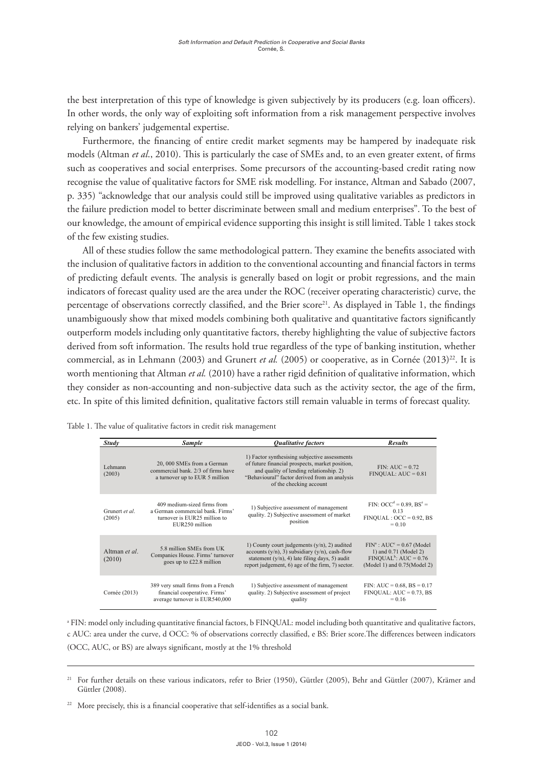the best interpretation of this type of knowledge is given subjectively by its producers (e.g. loan officers). In other words, the only way of exploiting soft information from a risk management perspective involves relying on bankers' judgemental expertise.

Furthermore, the financing of entire credit market segments may be hampered by inadequate risk models (Altman *et al*., 2010). This is particularly the case of SMEs and, to an even greater extent, of firms such as cooperatives and social enterprises. Some precursors of the accounting-based credit rating now recognise the value of qualitative factors for SME risk modelling. For instance, Altman and Sabado (2007, p. 335) "acknowledge that our analysis could still be improved using qualitative variables as predictors in the failure prediction model to better discriminate between small and medium enterprises". To the best of our knowledge, the amount of empirical evidence supporting this insight is still limited. Table 1 takes stock of the few existing studies.

All of these studies follow the same methodological pattern. They examine the benefits associated with the inclusion of qualitative factors in addition to the conventional accounting and financial factors in terms of predicting default events. The analysis is generally based on logit or probit regressions, and the main indicators of forecast quality used are the area under the ROC (receiver operating characteristic) curve, the percentage of observations correctly classified, and the Brier score<sup>21</sup>. As displayed in Table 1, the findings unambiguously show that mixed models combining both qualitative and quantitative factors significantly outperform models including only quantitative factors, thereby highlighting the value of subjective factors derived from soft information. The results hold true regardless of the type of banking institution, whether commercial, as in Lehmann (2003) and Grunert *et al.* (2005) or cooperative, as in Cornée (2013)<sup>22</sup>. It is worth mentioning that Altman *et al.* (2010) have a rather rigid definition of qualitative information, which they consider as non-accounting and non-subjective data such as the activity sector, the age of the firm, etc. In spite of this limited definition, qualitative factors still remain valuable in terms of forecast quality.

| <b>Study</b>             | <b>Sample</b>                                                                                                    | <b>Oualitative factors</b>                                                                                                                                                                                              | <b>Results</b>                                                                                                                 |
|--------------------------|------------------------------------------------------------------------------------------------------------------|-------------------------------------------------------------------------------------------------------------------------------------------------------------------------------------------------------------------------|--------------------------------------------------------------------------------------------------------------------------------|
| Lehmann<br>(2003)        | 20, 000 SMEs from a German<br>commercial bank. 2/3 of firms have<br>a turnover up to EUR 5 million               | 1) Factor synthesising subjective assessments<br>of future financial prospects, market position,<br>and quality of lending relationship. 2)<br>"Behavioural" factor derived from an analysis<br>of the checking account | $FIN: AUC = 0.72$<br>$FINOUAL: AUC = 0.81$                                                                                     |
| Grunert et al.<br>(2005) | 409 medium-sized firms from<br>a German commercial bank Firms'<br>turnover is EUR25 million to<br>EUR250 million | 1) Subjective assessment of management<br>quality. 2) Subjective assessment of market<br>position                                                                                                                       | FIN: $OCC^d = 0.89$ , $BS^e =$<br>0.13<br>$FINOUAL: OCC = 0.92, BS$<br>$= 0.10$                                                |
| Altman et al.<br>(2010)  | 5.8 million SMEs from UK<br>Companies House. Firms' turnover<br>goes up to £22.8 million                         | 1) County court judgements $(y/n)$ , 2) audited<br>accounts $(y/n)$ , 3) subsidiary $(y/n)$ , cash-flow<br>statement $(y/n)$ , 4) late filing days, 5) audit<br>report judgement, 6) age of the firm, 7) sector.        | $FINa$ : AUC <sup>c</sup> = 0.67 (Model<br>1) and 0.71 (Model 2)<br>$FINOUAL^b$ : AUC = 0.76<br>(Model 1) and $0.75$ (Model 2) |
| Cornée (2013)            | 389 very small firms from a French<br>financial cooperative. Firms'<br>average turnover is EUR540,000            | 1) Subjective assessment of management<br>quality. 2) Subjective assessment of project<br>quality                                                                                                                       | FIN: $AUC = 0.68$ , $BS = 0.17$<br>$FINOUAL: AUC = 0.73, BS$<br>$= 0.16$                                                       |

Table 1. The value of qualitative factors in credit risk management

andel only including quantitative financial factors, b  $\text{ENDUAL: model including both quantitative and qualitative.}$  $\alpha$  FIN: model only including quantitative financial factors, b FINQUAL: model including both quantitative and qualitative factors, c AUC: area under the curve, d OCC: % of observations correctly classified, e BS: Brier score.The differences between indicators  $H_{\text{eff}}$  added by  $\sigma$  and  $\sigma$  assessing best way of assessing way of assessing way of assessing  $\sigma$ (OCC, AUC, or BS) are always significant, mostly at the 1% threshold

informationally opaque borrowers consists of gathering soft information over the course of long-

 $\begin{array}{ccc} \epsilon & 1 & 1 & 1 \end{array}$  are more marked in Section 3, financial statements are marked insufficient insufficient insufficient insufficient insufficient insufficient insufficient insufficient insufficient insufficient ins <sup>21</sup> For further details on these various indicators, refer to Brier (1950), Güttler (2005), Behr and Güttler (2007), Krämer and Güttler (2009) relevant in  $(2000)$ . Güttler (2008).

<sup>&</sup>lt;sup>22</sup> More precisely, this is a financial cooperative that self-identifies as a social bank.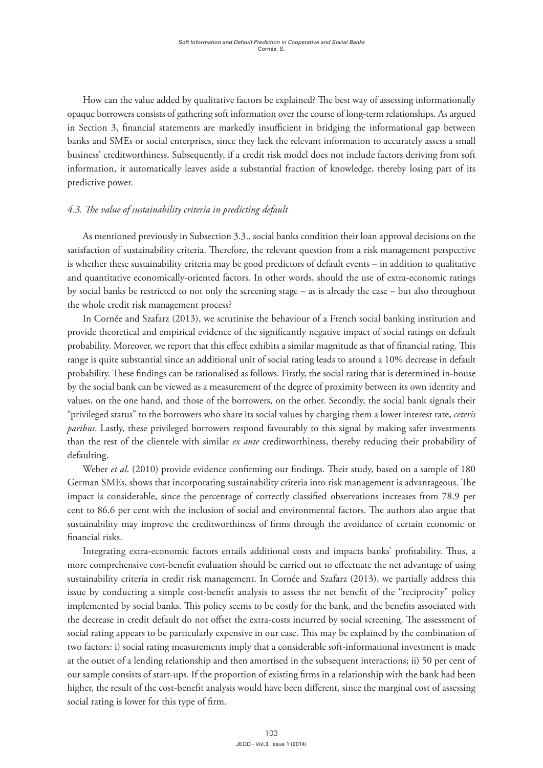How can the value added by qualitative factors be explained? The best way of assessing informationally opaque borrowers consists of gathering soft information over the course of long-term relationships. As argued in Section 3, financial statements are markedly insufficient in bridging the informational gap between banks and SMEs or social enterprises, since they lack the relevant information to accurately assess a small business' creditworthiness. Subsequently, if a credit risk model does not include factors deriving from soft information, it automatically leaves aside a substantial fraction of knowledge, thereby losing part of its predictive power.

# *4.3. The value of sustainability criteria in predicting default*

As mentioned previously in Subsection 3.3., social banks condition their loan approval decisions on the satisfaction of sustainability criteria. Therefore, the relevant question from a risk management perspective is whether these sustainability criteria may be good predictors of default events – in addition to qualitative and quantitative economically-oriented factors. In other words, should the use of extra-economic ratings by social banks be restricted to not only the screening stage – as is already the case – but also throughout the whole credit risk management process?

In Cornée and Szafarz (2013), we scrutinise the behaviour of a French social banking institution and provide theoretical and empirical evidence of the significantly negative impact of social ratings on default probability. Moreover, we report that this effect exhibits a similar magnitude as that of financial rating. This range is quite substantial since an additional unit of social rating leads to around a 10% decrease in default probability. These findings can be rationalised as follows. Firstly, the social rating that is determined in-house by the social bank can be viewed as a measurement of the degree of proximity between its own identity and values, on the one hand, and those of the borrowers, on the other. Secondly, the social bank signals their "privileged status" to the borrowers who share its social values by charging them a lower interest rate, *ceteris paribus*. Lastly, these privileged borrowers respond favourably to this signal by making safer investments than the rest of the clientele with similar *ex ante* creditworthiness, thereby reducing their probability of defaulting.

Weber *et al*. (2010) provide evidence confirming our findings. Their study, based on a sample of 180 German SMEs, shows that incorporating sustainability criteria into risk management is advantageous. The impact is considerable, since the percentage of correctly classified observations increases from 78.9 per cent to 86.6 per cent with the inclusion of social and environmental factors. The authors also argue that sustainability may improve the creditworthiness of firms through the avoidance of certain economic or financial risks.

Integrating extra-economic factors entails additional costs and impacts banks' profitability. Thus, a more comprehensive cost-benefit evaluation should be carried out to effectuate the net advantage of using sustainability criteria in credit risk management. In Cornée and Szafarz (2013), we partially address this issue by conducting a simple cost-benefit analysis to assess the net benefit of the "reciprocity" policy implemented by social banks. This policy seems to be costly for the bank, and the benefits associated with the decrease in credit default do not offset the extra-costs incurred by social screening. The assessment of social rating appears to be particularly expensive in our case. This may be explained by the combination of two factors: i) social rating measurements imply that a considerable soft-informational investment is made at the outset of a lending relationship and then amortised in the subsequent interactions; ii) 50 per cent of our sample consists of start-ups. If the proportion of existing firms in a relationship with the bank had been higher, the result of the cost-benefit analysis would have been different, since the marginal cost of assessing social rating is lower for this type of firm.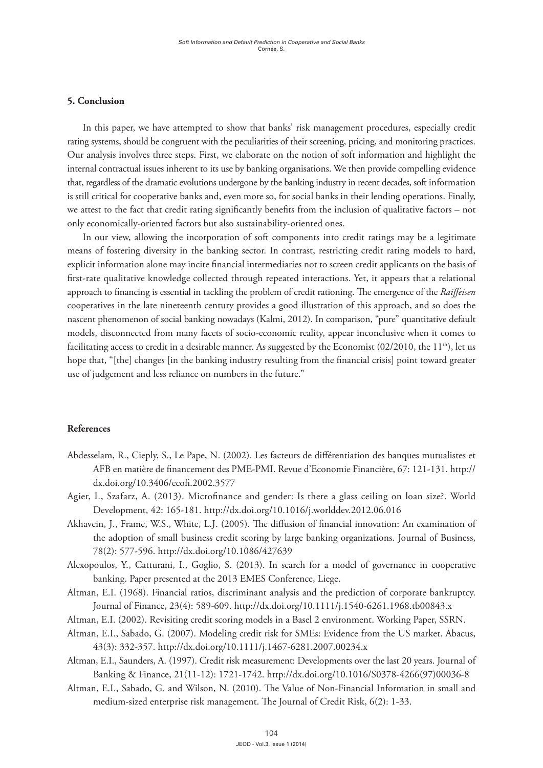#### **5. Conclusion**

In this paper, we have attempted to show that banks' risk management procedures, especially credit rating systems, should be congruent with the peculiarities of their screening, pricing, and monitoring practices. Our analysis involves three steps. First, we elaborate on the notion of soft information and highlight the internal contractual issues inherent to its use by banking organisations. We then provide compelling evidence that, regardless of the dramatic evolutions undergone by the banking industry in recent decades, soft information is still critical for cooperative banks and, even more so, for social banks in their lending operations. Finally, we attest to the fact that credit rating significantly benefits from the inclusion of qualitative factors – not only economically-oriented factors but also sustainability-oriented ones.

In our view, allowing the incorporation of soft components into credit ratings may be a legitimate means of fostering diversity in the banking sector. In contrast, restricting credit rating models to hard, explicit information alone may incite financial intermediaries not to screen credit applicants on the basis of first-rate qualitative knowledge collected through repeated interactions. Yet, it appears that a relational approach to financing is essential in tackling the problem of credit rationing. The emergence of the *Raiffeisen* cooperatives in the late nineteenth century provides a good illustration of this approach, and so does the nascent phenomenon of social banking nowadays (Kalmi, 2012). In comparison, "pure" quantitative default models, disconnected from many facets of socio-economic reality, appear inconclusive when it comes to facilitating access to credit in a desirable manner. As suggested by the Economist (02/2010, the 11<sup>th</sup>), let us hope that, "[the] changes [in the banking industry resulting from the financial crisis] point toward greater use of judgement and less reliance on numbers in the future."

#### **References**

- Abdesselam, R., Cieply, S., Le Pape, N. (2002). Les facteurs de différentiation des banques mutualistes et AFB en matière de financement des PME-PMI. Revue d'Economie Financière, 67: 121-131. [http://](http://dx.doi.org/10.3406/ecofi.2002.3577) [dx.doi.org/10.3406/ecofi.2002.3577](http://dx.doi.org/10.3406/ecofi.2002.3577)
- Agier, I., Szafarz, A. (2013). Microfinance and gender: Is there a glass ceiling on loan size?. World Development, 42: 165-181. <http://dx.doi.org/10.1016/j.worlddev.2012.06.016>
- Akhavein, J., Frame, W.S., White, L.J. (2005). The diffusion of financial innovation: An examination of the adoption of small business credit scoring by large banking organizations. Journal of Business, 78(2): 577-596.<http://dx.doi.org/10.1086/427639>
- Alexopoulos, Y., Catturani, I., Goglio, S. (2013). In search for a model of governance in cooperative banking. Paper presented at the 2013 EMES Conference, Liege.
- Altman, E.I. (1968). Financial ratios, discriminant analysis and the prediction of corporate bankruptcy. Journal of Finance, 23(4): 589-609. <http://dx.doi.org/10.1111/j.1540-6261.1968.tb00843.x>
- Altman, E.I. (2002). Revisiting credit scoring models in a Basel 2 environment. Working Paper, SSRN.
- Altman, E.I., Sabado, G. (2007). Modeling credit risk for SMEs: Evidence from the US market. Abacus, 43(3): 332-357.<http://dx.doi.org/10.1111/j.1467-6281.2007.00234.x>
- Altman, E.I., Saunders, A. (1997). Credit risk measurement: Developments over the last 20 years. Journal of Banking & Finance, 21(11-12): 1721-1742. [http://dx.doi.org/10.1016/S0378-4266\(97\)00036-8](http://dx.doi.org/10.1016/S0378-4266(97)00036-8)
- Altman, E.I., Sabado, G. and Wilson, N. (2010). The Value of Non-Financial Information in small and medium-sized enterprise risk management. The Journal of Credit Risk, 6(2): 1-33.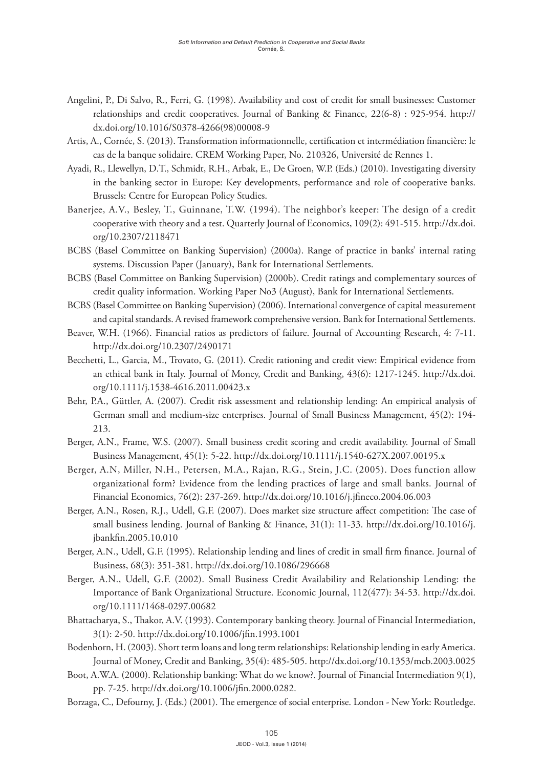- Angelini, P., Di Salvo, R., Ferri, G. (1998). Availability and cost of credit for small businesses: Customer relationships and credit cooperatives. Journal of Banking & Finance, 22(6-8) : 925-954. [http://](http://dx.doi.org/10.1016/S0378-4266(98)00008-9) [dx.doi.org/10.1016/S0378-4266\(98\)00008-9](http://dx.doi.org/10.1016/S0378-4266(98)00008-9)
- Artis, A., Cornée, S. (2013). Transformation informationnelle, certification et intermédiation financière: le cas de la banque solidaire. CREM Working Paper, No. 210326, Université de Rennes 1.
- Ayadi, R., Llewellyn, D.T., Schmidt, R.H., Arbak, E., De Groen, W.P. (Eds.) (2010). Investigating diversity in the banking sector in Europe: Key developments, performance and role of cooperative banks. Brussels: Centre for European Policy Studies.
- Banerjee, A.V., Besley, T., Guinnane, T.W. (1994). The neighbor's keeper: The design of a credit cooperative with theory and a test. Quarterly Journal of Economics, 109(2): 491-515. [http://dx.doi.](http://dx.doi.org/10.2307/2118471) [org/10.2307/2118471](http://dx.doi.org/10.2307/2118471)
- BCBS (Basel Committee on Banking Supervision) (2000a). Range of practice in banks' internal rating systems. Discussion Paper (January), Bank for International Settlements.
- BCBS (Basel Committee on Banking Supervision) (2000b). Credit ratings and complementary sources of credit quality information. Working Paper No3 (August), Bank for International Settlements.
- BCBS (Basel Committee on Banking Supervision) (2006). International convergence of capital measurement and capital standards. A revised framework comprehensive version. Bank for International Settlements.
- Beaver, W.H. (1966). Financial ratios as predictors of failure. Journal of Accounting Research, 4: 7-11. <http://dx.doi.org/10.2307/2490171>
- Becchetti, L., Garcia, M., Trovato, G. (2011). Credit rationing and credit view: Empirical evidence from an ethical bank in Italy. Journal of Money, Credit and Banking, 43(6): 1217-1245. [http://dx.doi.](http://dx.doi.org/10.1111/j.1538-4616.2011.00423.x) [org/10.1111/j.1538-4616.2011.00423.x](http://dx.doi.org/10.1111/j.1538-4616.2011.00423.x)
- Behr, P.A., Güttler, A. (2007). Credit risk assessment and relationship lending: An empirical analysis of German small and medium-size enterprises. Journal of Small Business Management, 45(2): 194- 213.
- Berger, A.N., Frame, W.S. (2007). Small business credit scoring and credit availability. Journal of Small Business Management, 45(1): 5-22. <http://dx.doi.org/10.1111/j.1540-627X.2007.00195.x>
- Berger, A.N, Miller, N.H., Petersen, M.A., Rajan, R.G., Stein, J.C. (2005). Does function allow organizational form? Evidence from the lending practices of large and small banks. Journal of Financial Economics, 76(2): 237-269. <http://dx.doi.org/10.1016/j.jfineco.2004.06.003>
- Berger, A.N., Rosen, R.J., Udell, G.F. (2007). Does market size structure affect competition: The case of small business lending. Journal of Banking & Finance, 31(1): 11-33. [http://dx.doi.org/10.1016/j.](http://dx.doi.org/10.1016/j.jbankfin.2005.10.010) [jbankfin.2005.10.010](http://dx.doi.org/10.1016/j.jbankfin.2005.10.010)
- Berger, A.N., Udell, G.F. (1995). Relationship lending and lines of credit in small firm finance. Journal of Business, 68(3): 351-381.<http://dx.doi.org/10.1086/296668>
- Berger, A.N., Udell, G.F. (2002). Small Business Credit Availability and Relationship Lending: the Importance of Bank Organizational Structure. Economic Journal, 112(477): 34-53. [http://dx.doi.](http://dx.doi.org/10.1111/1468-0297.00682) [org/10.1111/1468-0297.00682](http://dx.doi.org/10.1111/1468-0297.00682)
- Bhattacharya, S., Thakor, A.V. (1993). Contemporary banking theory. Journal of Financial Intermediation, 3(1): 2-50.<http://dx.doi.org/10.1006/jfin.1993.1001>
- Bodenhorn, H. (2003). Short term loans and long term relationships: Relationship lending in early America. Journal of Money, Credit and Banking, 35(4): 485-505.<http://dx.doi.org/10.1353/mcb.2003.0025>
- Boot, A.W.A. (2000). Relationship banking: What do we know?. Journal of Financial Intermediation 9(1), pp. 7-25.<http://dx.doi.org/10.1006/jfin.2000.0282>.
- Borzaga, C., Defourny, J. (Eds.) (2001). The emergence of social enterprise. London New York: Routledge.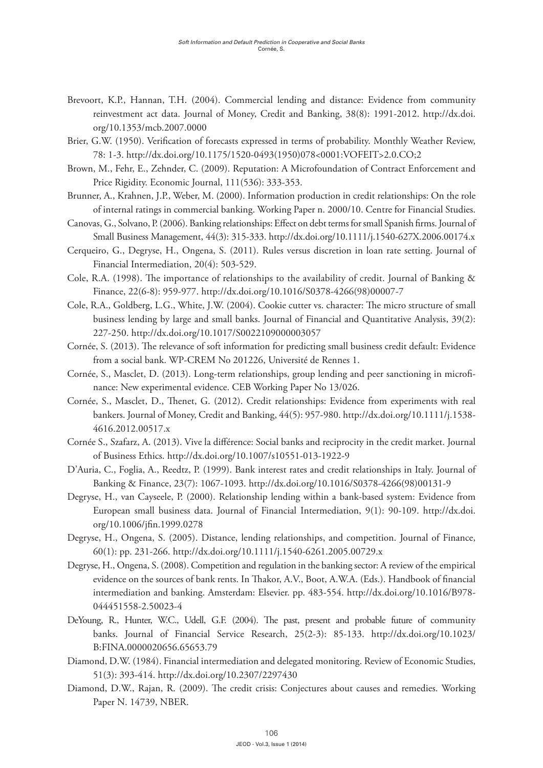- Brevoort, K.P., Hannan, T.H. (2004). Commercial lending and distance: Evidence from community reinvestment act data. Journal of Money, Credit and Banking, 38(8): 1991-2012. [http://dx.doi.](http://dx.doi.org/10.1353/mcb.2007.0000) [org/10.1353/mcb.2007.0000](http://dx.doi.org/10.1353/mcb.2007.0000)
- Brier, G.W. (1950). Verification of forecasts expressed in terms of probability. Monthly Weather Review, 78: 1-3. [http://dx.doi.org/10.1175/1520-0493\(1950\)078<0001:VOFEIT>2.0.CO;2](http://dx.doi.org/10.1175/1520-0493(1950)078%3C0001:VOFEIT%3E2.0.CO;2)
- Brown, M., Fehr, E., Zehnder, C. (2009). Reputation: A Microfoundation of Contract Enforcement and Price Rigidity. Economic Journal, 111(536): 333-353.
- Brunner, A., Krahnen, J.P., Weber, M. (2000). Information production in credit relationships: On the role of internal ratings in commercial banking. Working Paper n. 2000/10. Centre for Financial Studies.
- Canovas, G., Solvano, P. (2006). Banking relationships: Effect on debt terms for small Spanish firms. Journal of Small Business Management, 44(3): 315-333. <http://dx.doi.org/10.1111/j.1540-627X.2006.00174.x>
- Cerqueiro, G., Degryse, H., Ongena, S. (2011). Rules versus discretion in loan rate setting. Journal of Financial Intermediation, 20(4): 503-529.
- Cole, R.A. (1998). The importance of relationships to the availability of credit. Journal of Banking & Finance, 22(6-8): 959-977. [http://dx.doi.org/10.1016/S0378-4266\(98\)00007-7](http://dx.doi.org/10.1016/S0378-4266(98)00007-7)
- Cole, R.A., Goldberg, L.G., White, J.W. (2004). Cookie cutter vs. character: The micro structure of small business lending by large and small banks. Journal of Financial and Quantitative Analysis, 39(2): 227-250.<http://dx.doi.org/10.1017/S0022109000003057>
- Cornée, S. (2013). The relevance of soft information for predicting small business credit default: Evidence from a social bank. WP-CREM No 201226, Université de Rennes 1.
- Cornée, S., Masclet, D. (2013). Long-term relationships, group lending and peer sanctioning in microfinance: New experimental evidence. CEB Working Paper No 13/026.
- Cornée, S., Masclet, D., Thenet, G. (2012). Credit relationships: Evidence from experiments with real bankers. Journal of Money, Credit and Banking, 44(5): 957-980. [http://dx.doi.org/10.1111/j.1538-](http://dx.doi.org/10.1111/j.1538-4616.2012.00517.x) [4616.2012.00517.x](http://dx.doi.org/10.1111/j.1538-4616.2012.00517.x)
- Cornée S., Szafarz, A. (2013). [Vive la différence: Social banks and reciprocity in the credit market](http://link.springer.com/article/10.1007/s10551-013-1922-9). Journal of Business Ethics.<http://dx.doi.org/10.1007/s10551-013-1922-9>
- D'Auria, C., Foglia, A., Reedtz, P. (1999). Bank interest rates and credit relationships in Italy. Journal of Banking & Finance, 23(7): 1067-1093. [http://dx.doi.org/10.1016/S0378-4266\(98\)00131-9](http://dx.doi.org/10.1016/S0378-4266(98)00131-9)
- Degryse, H., van Cayseele, P. (2000). Relationship lending within a bank-based system: Evidence from European small business data. Journal of Financial Intermediation, 9(1): 90-109. [http://dx.doi.](http://dx.doi.org/10.1006/jfin.1999.0278) [org/10.1006/jfin.1999.0278](http://dx.doi.org/10.1006/jfin.1999.0278)
- Degryse, H., Ongena, S. (2005). Distance, lending relationships, and competition. Journal of Finance, 60(1): pp. 231-266. <http://dx.doi.org/10.1111/j.1540-6261.2005.00729.x>
- Degryse, H., Ongena, S. (2008). Competition and regulation in the banking sector: A review of the empirical evidence on the sources of bank rents. In Thakor, A.V., Boot, A.W.A. (Eds.). Handbook of financial intermediation and banking. Amsterdam: Elsevier. pp. 483-554. [http://dx.doi.org/10.1016/B978-](http://dx.doi.org/10.1016/B978-044451558-2.50023-4) [044451558-2.50023-4](http://dx.doi.org/10.1016/B978-044451558-2.50023-4)
- DeYoung, R., Hunter, W.C., Udell, G.F. (2004). The past, present and probable future of community banks. Journal of Financial Service Research, 25(2-3): 85-133. [http://dx.doi.org/10.1023/](http://dx.doi.org/10.1023/B:FINA.0000020656.65653.79) [B:FINA.0000020656.65653.79](http://dx.doi.org/10.1023/B:FINA.0000020656.65653.79)
- Diamond, D.W. (1984). Financial intermediation and delegated monitoring. Review of Economic Studies, 51(3): 393-414.<http://dx.doi.org/10.2307/2297430>
- Diamond, D.W., Rajan, R. (2009). The credit crisis: Conjectures about causes and remedies. Working Paper N. 14739, NBER.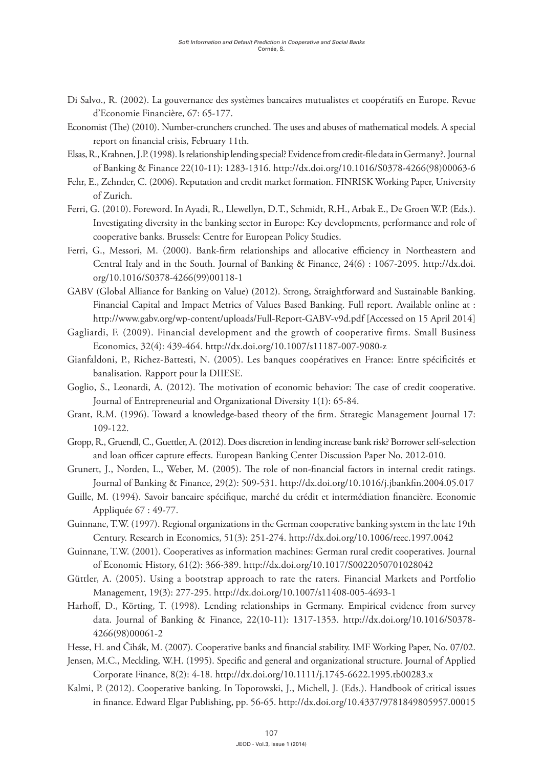- Di Salvo., R. (2002). La gouvernance des systèmes bancaires mutualistes et coopératifs en Europe. Revue d'Economie Financière, 67: 65-177.
- Economist (The) (2010). Number-crunchers crunched. The uses and abuses of mathematical models. A special report on financial crisis, February 11th.
- Elsas, R., Krahnen, J.P. (1998). Is relationship lending special? Evidence from credit-file data in Germany?. Journal of Banking & Finance 22(10-11): 1283-1316. [http://dx.doi.org/10.1016/S0378-4266\(98\)00063-6](http://dx.doi.org/10.1016/S0378-4266(98)00063-6)
- Fehr, E., Zehnder, C. (2006). Reputation and credit market formation. FINRISK Working Paper, University of Zurich.
- Ferri, G. (2010). Foreword. In Ayadi, R., Llewellyn, D.T., Schmidt, R.H., Arbak E., De Groen W.P. (Eds.). Investigating diversity in the banking sector in Europe: Key developments, performance and role of cooperative banks. Brussels: Centre for European Policy Studies.
- Ferri, G., Messori, M. (2000). Bank-firm relationships and allocative efficiency in Northeastern and Central Italy and in the South. Journal of Banking & Finance, 24(6) : 1067-2095. [http://dx.doi.](http://dx.doi.org/10.1016/S0378-4266(99)00118-1) [org/10.1016/S0378-4266\(99\)00118-1](http://dx.doi.org/10.1016/S0378-4266(99)00118-1)
- GABV (Global Alliance for Banking on Value) (2012). Strong, Straightforward and Sustainable Banking. Financial Capital and Impact Metrics of Values Based Banking. Full report. Available online at : <http://www.gabv.org/wp-content/uploads/Full-Report-GABV-v9d.pdf> [Accessed on 15 April 2014]
- Gagliardi, F. (2009). Financial development and the growth of cooperative firms. [Small Business](file:///Users/irenerosa/Documents/vitamina-studio/Paper%20Word/Small%20Business%20Economics)  [Economics,](file:///Users/irenerosa/Documents/vitamina-studio/Paper%20Word/Small%20Business%20Economics) 32(4): 439-464.<http://dx.doi.org/10.1007/s11187-007-9080-z>
- Gianfaldoni, P., Richez-Battesti, N. (2005). Les banques coopératives en France: Entre spécificités et banalisation. Rapport pour la DIIESE.
- Goglio, S., Leonardi, A. (2012). The motivation of economic behavior: The case of credit cooperative. Journal of Entrepreneurial and Organizational Diversity 1(1): 65-84.
- Grant, R.M. (1996). Toward a knowledge-based theory of the firm. Strategic Management Journal 17: 109-122.
- Gropp, R., Gruendl, C., Guettler, A. (2012). Does discretion in lending increase bank risk? Borrower self-selection and loan officer capture effects. European Banking Center Discussion Paper No. 2012-010.
- Grunert, J., Norden, L., Weber, M. (2005). The role of non-financial factors in internal credit ratings. Journal of Banking & Finance, 29(2): 509-531. <http://dx.doi.org/10.1016/j.jbankfin.2004.05.017>
- Guille, M. (1994). Savoir bancaire spécifique, marché du crédit et intermédiation financière. Economie Appliquée 67 : 49-77.
- Guinnane, T.W. (1997). Regional organizations in the German cooperative banking system in the late 19th Century. Research in Economics, 51(3): 251-274. <http://dx.doi.org/10.1006/reec.1997.0042>
- Guinnane, T.W. (2001). Cooperatives as information machines: German rural credit cooperatives. Journal of Economic History, 61(2): 366-389.<http://dx.doi.org/10.1017/S0022050701028042>
- Güttler, A. (2005). Using a bootstrap approach to rate the raters. Financial Markets and Portfolio Management, 19(3): 277-295. <http://dx.doi.org/10.1007/s11408-005-4693-1>
- Harhoff, D., Körting, T. (1998). Lending relationships in Germany. Empirical evidence from survey data. Journal of Banking & Finance, 22(10-11): 1317-1353. [http://dx.doi.org/10.1016/S0378-](http://dx.doi.org/10.1016/S0378-4266(98)00061-2) [4266\(98\)00061-2](http://dx.doi.org/10.1016/S0378-4266(98)00061-2)
- Hesse, H. and Čihák, M. (2007). Cooperative banks and financial stability. IMF Working Paper, No. 07/02.
- Jensen, M.C., Meckling, W.H. (1995). Specific and general and organizational structure. Journal of Applied Corporate Finance, 8(2): 4-18. <http://dx.doi.org/10.1111/j.1745-6622.1995.tb00283.x>
- Kalmi, P. (2012). Cooperative banking. In Toporowski, J., Michell, J. (Eds.). Handbook of critical issues in finance. Edward Elgar Publishing, pp. 56-65.<http://dx.doi.org/10.4337/9781849805957.00015>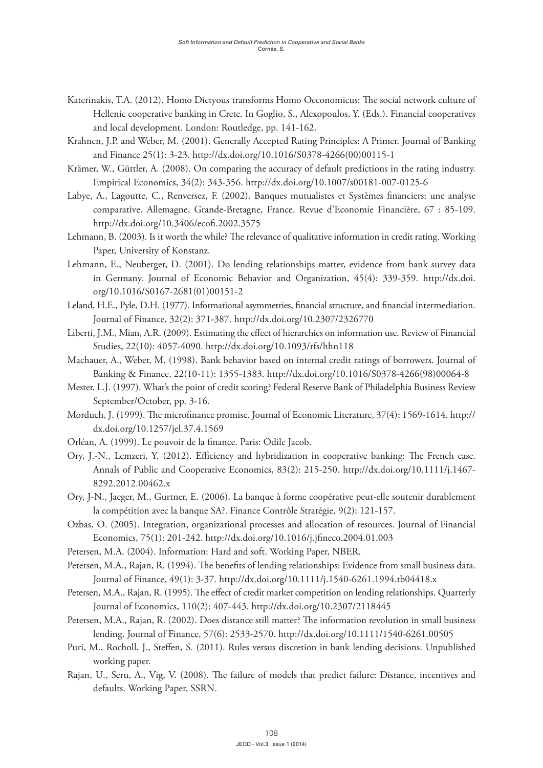- Katerinakis, T.A. (2012). Homo Dictyous transforms Homo Oeconomicus: The social network culture of Hellenic cooperative banking in Crete. In Goglio, S., Alexopoulos, Y. (Eds.). Financial cooperatives and local development. London: Routledge, pp. 141-162.
- Krahnen, J.P. and Weber, M. (2001). Generally Accepted Rating Principles: A Primer. Journal of Banking and Finance 25(1): 3-23. [http://dx.doi.org/10.1016/S0378-4266\(00\)00115-1](http://dx.doi.org/10.1016/S0378-4266(00)00115-1)
- Krämer, W., Güttler, A. (2008). On comparing the accuracy of default predictions in the rating industry. Empirical Economics, 34(2): 343-356.<http://dx.doi.org/10.1007/s00181-007-0125-6>
- Labye, A., Lagoutte, C., Renversez, F. (2002). Banques mutualistes et Systèmes financiers: une analyse comparative. Allemagne, Grande-Bretagne, France. Revue d'Economie Financière, 67 : 85-109. <http://dx.doi.org/10.3406/ecofi.2002.3575>
- Lehmann, B. (2003). Is it worth the while? The relevance of qualitative information in credit rating. Working Paper, University of Konstanz.
- Lehmann, E., Neuberger, D. (2001). Do lending relationships matter, evidence from bank survey data in Germany. Journal of Economic Behavior and Organization, 45(4): 339-359. [http://dx.doi.](http://dx.doi.org/10.1016/S0167-2681(01)00151-2) [org/10.1016/S0167-2681\(01\)00151-2](http://dx.doi.org/10.1016/S0167-2681(01)00151-2)
- Leland, H.E., Pyle, D.H. (1977). Informational asymmetries, financial structure, and financial intermediation. Journal of Finance, 32(2): 371-387. <http://dx.doi.org/10.2307/2326770>
- Liberti, J.M., Mian, A.R. (2009). Estimating the effect of hierarchies on information use. Review of Financial Studies, 22(10): 4057-4090. <http://dx.doi.org/10.1093/rfs/hhn118>
- Machauer, A., Weber, M. (1998). Bank behavior based on internal credit ratings of borrowers. Journal of Banking & Finance, 22(10-11): 1355-1383. [http://dx.doi.org/10.1016/S0378-4266\(98\)00064-8](http://dx.doi.org/10.1016/S0378-4266(98)00064-8)
- Mester, L.J. (1997). What's the point of credit scoring? Federal Reserve Bank of Philadelphia Business Review September/October, pp. 3-16.
- Morduch, J. (1999). The microfinance promise. Journal of Economic Literature, 37(4): 1569-1614. [http://](http://dx.doi.org/10.1257/jel.37.4.1569) [dx.doi.org/10.1257/jel.37.4.1569](http://dx.doi.org/10.1257/jel.37.4.1569)
- Orléan, A. (1999). Le pouvoir de la finance. Paris: Odile Jacob.
- Ory, J.-N., Lemzeri, Y. (2012). Efficiency and hybridization in cooperative banking: The French case. Annals of Public and Cooperative Economics, 83(2): 215-250. [http://dx.doi.org/10.1111/j.1467-](http://dx.doi.org/10.1111/j.1467-8292.2012.00462.x) [8292.2012.00462.x](http://dx.doi.org/10.1111/j.1467-8292.2012.00462.x)
- Ory, J-N., Jaeger, M., Gurtner, E. (2006). La banque à forme coopérative peut-elle soutenir durablement la compétition avec la banque SA?. Finance Contrôle Stratégie, 9(2): 121-157.
- Ozbas, O. (2005). Integration, organizational processes and allocation of resources. Journal of Financial Economics, 75(1): 201-242.<http://dx.doi.org/10.1016/j.jfineco.2004.01.003>
- Petersen, M.A. (2004). Information: Hard and soft. Working Paper, NBER.
- Petersen, M.A., Rajan, R. (1994). The benefits of lending relationships: Evidence from small business data. Journal of Finance, 49(1): 3-37.<http://dx.doi.org/10.1111/j.1540-6261.1994.tb04418.x>
- Petersen, M.A., Rajan, R. (1995). The effect of credit market competition on lending relationships. Quarterly Journal of Economics, 110(2): 407-443. <http://dx.doi.org/10.2307/2118445>
- Petersen, M.A., Rajan, R. (2002). Does distance still matter? The information revolution in small business lending. Journal of Finance, 57(6): 2533-2570.<http://dx.doi.org/10.1111/1540-6261.00505>
- Puri, M., Rocholl, J., Steffen, S. (2011). Rules versus discretion in bank lending decisions. Unpublished working paper.
- Rajan, U., Seru, A., Vig, V. (2008). The failure of models that predict failure: Distance, incentives and defaults. Working Paper, SSRN.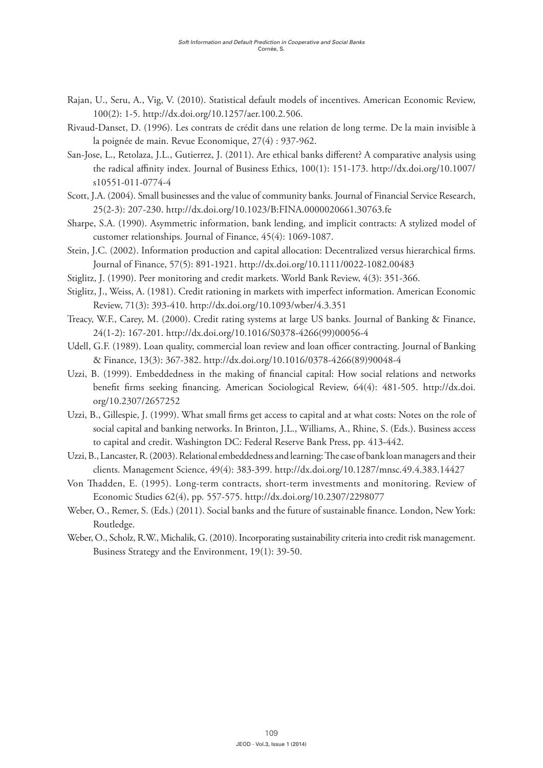- Rajan, U., Seru, A., Vig, V. (2010). Statistical default models of incentives. American Economic Review, 100(2): 1-5. [http://dx.doi.org/10.1257/aer.100.2.506.](http://dx.doi.org/10.1257/aer.100.2.506)
- Rivaud-Danset, D. (1996). Les contrats de crédit dans une relation de long terme. De la main invisible à la poignée de main. Revue Economique, 27(4) : 937-962.
- San-Jose, L., Retolaza, J.L., Gutierrez, J. (2011). Are ethical banks different? A comparative analysis using the radical affinity index. Journal of Business Ethics, 100(1): 151-173. [http://dx.doi.org/10.1007/](http://dx.doi.org/10.1007/s10551-011-0774-4) [s10551-011-0774-4](http://dx.doi.org/10.1007/s10551-011-0774-4)
- Scott, J.A. (2004). Small businesses and the value of community banks. Journal of Financial Service Research, 25(2-3): 207-230.<http://dx.doi.org/10.1023/B:FINA.0000020661.30763.fe>
- Sharpe, S.A. (1990). Asymmetric information, bank lending, and implicit contracts: A stylized model of customer relationships. Journal of Finance, 45(4): 1069-1087.
- Stein, J.C. (2002). Information production and capital allocation: Decentralized versus hierarchical firms. Journal of Finance, 57(5): 891-1921.<http://dx.doi.org/10.1111/0022-1082.00483>
- Stiglitz, J. (1990). Peer monitoring and credit markets. World Bank Review, 4(3): 351-366.
- Stiglitz, J., Weiss, A. (1981). Credit rationing in markets with imperfect information. American Economic Review, 71(3): 393-410.<http://dx.doi.org/10.1093/wber/4.3.351>
- Treacy, W.F., Carey, M. (2000). Credit rating systems at large US banks. Journal of Banking & Finance, 24(1-2): 167-201. [http://dx.doi.org/10.1016/S0378-4266\(99\)00056-4](http://dx.doi.org/10.1016/S0378-4266(99)00056-4)
- Udell, G.F. (1989). Loan quality, commercial loan review and loan officer contracting. Journal of Banking & Finance, 13(3): 367-382. [http://dx.doi.org/10.1016/0378-4266\(89\)90048-4](http://dx.doi.org/10.1016/0378-4266(89)90048-4)
- Uzzi, B. (1999). Embeddedness in the making of financial capital: How social relations and networks benefit firms seeking financing. American Sociological Review, 64(4): 481-505. [http://dx.doi.](http://dx.doi.org/10.2307/2657252) [org/10.2307/2657252](http://dx.doi.org/10.2307/2657252)
- Uzzi, B., Gillespie, J. (1999). What small firms get access to capital and at what costs: Notes on the role of social capital and banking networks. In Brinton, J.L., Williams, A., Rhine, S. (Eds.). Business access to capital and credit. Washington DC: Federal Reserve Bank Press, pp. 413-442.
- Uzzi, B., Lancaster, R. (2003). Relational embeddedness and learning: The case of bank loan managers and their clients. Management Science, 49(4): 383-399.<http://dx.doi.org/10.1287/mnsc.49.4.383.14427>
- Von Thadden, E. (1995). Long-term contracts, short-term investments and monitoring. Review of Economic Studies 62(4), pp. 557-575. <http://dx.doi.org/10.2307/2298077>
- Weber, O., Remer, S. (Eds.) (2011). Social banks and the future of sustainable finance. London, New York: Routledge.
- Weber, O., Scholz, R.W., Michalik, G. (2010). Incorporating sustainability criteria into credit risk management. Business Strategy and the Environment, 19(1): 39-50.